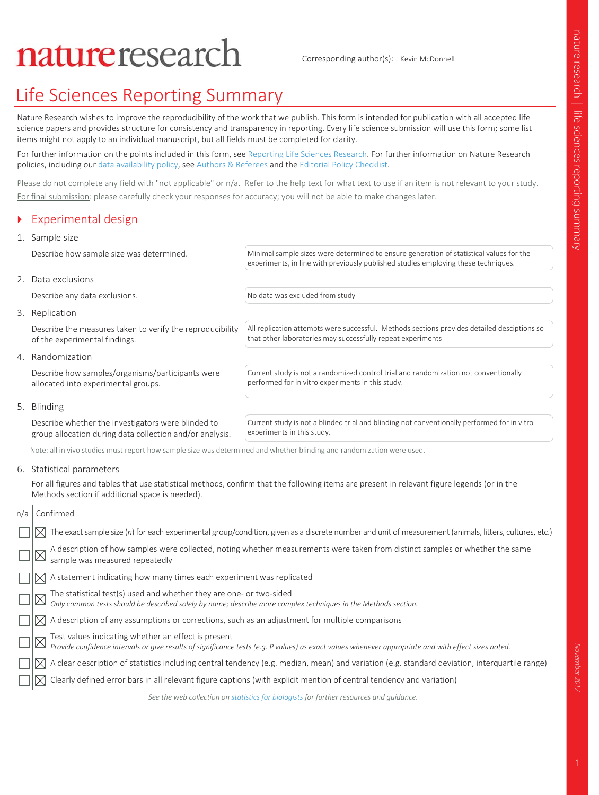# natureresearch

Corresponding author(s): Kevin McDonnell

# nature research | life sciences reporting summary 1nature research | life sciences reporting summary November 2017

## Life Sciences Reporting Summary

Nature Research wishes to improve the reproducibility of the work that we publish. This form is intended for publication with all accepted life science papers and provides structure for consistency and transparency in reporting. Every life science submission will use this form; some list items might not apply to an individual manuscript, but all fields must be completed for clarity.

For further information on the points included in this form, see Reporting Life Sciences Research. For further information on Nature Research policies, including our data availability policy, see Authors & Referees and the Editorial Policy Checklist.

Please do not complete any field with "not applicable" or n/a. Refer to the help text for what text to use if an item is not relevant to your study. For final submission: please carefully check your responses for accuracy; you will not be able to make changes later.

### Experimental design

### 1. Sample size

Describe how sample size was determined. Minimal sample sizes were determined to ensure generation of statistical values for the

### 2. Data exclusions

Describe any data exclusions. The study of the No data was excluded from study

that other laboratories may successfully repeat experiments

performed for in vitro experiments in this study.

### 3. Replication

Describe the measures taken to verify the reproducibility of the experimental findings.

### 4. Randomization

Describe how samples/organisms/participants were allocated into experimental groups.

Current study is not a randomized control trial and randomization not conventionally

All replication attempts were successful. Methods sections provides detailed desciptions so

experiments, in line with previously published studies employing these techniques.

### 5. Blinding

Describe whether the investigators were blinded to group allocation during data collection and/or analysis.

Current study is not a blinded trial and blinding not conventionally performed for in vitro experiments in this study.

Note: all in vivo studies must report how sample size was determined and whether blinding and randomization were used.

6. Statistical parameters

For all figures and tables that use statistical methods, confirm that the following items are present in relevant figure legends (or in the Methods section if additional space is needed).

### n/a Confirmed

| The exact sample size (n) for each experimental group/condition, given as a discrete number and unit of measurement (animals, litters, cultures, etc.)                                                      |
|-------------------------------------------------------------------------------------------------------------------------------------------------------------------------------------------------------------|
| A description of how samples were collected, noting whether measurements were taken from distinct samples or whether the same same same of $\mathbb{Z}$                                                     |
| $\log$ A statement indicating how many times each experiment was replicated                                                                                                                                 |
| The statistical test(s) used and whether they are one- or two-sided<br><i>Only common tests should be described solely by name; describe more complex techniques in the Methods section.</i>                |
| $\Box$ $\boxtimes$ A description of any assumptions or corrections, such as an adjustment for multiple comparisons                                                                                          |
| Test values indicating whether an effect is present<br>Provide confidence intervals or give results of significance tests (e.g. P values) as exact values whenever appropriate and with effect sizes noted. |
| $\sqrt{ \mathcal{X} }$ A clear description of statistics including central tendency (e.g. median, mean) and variation (e.g. standard deviation, interquartile range)                                        |
| $\Box\vert\vert\overline\chi\vert$ Clearly defined error bars in <u>all</u> relevant figure captions (with explicit mention of central tendency and variation)                                              |
| See the web collection on statistics for biologists for further resources and guidance.                                                                                                                     |

November 2017